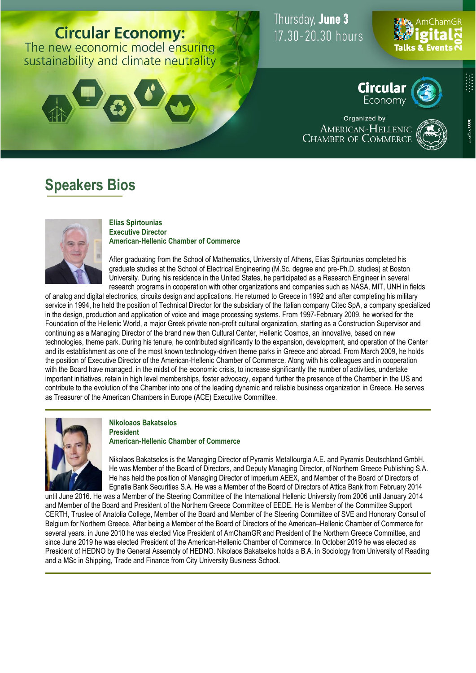# **Circular Economy:**

The new economic model ensuring sustainability and climate neutrality

Thursday, June 3 17.30-20.30 hours





Organized by AMERICAN-HELLENIC<br>CHAMBER OF COMMERCE



# **Speakers Bios**



**Elias Spirtounias Executive Director American-Hellenic Chamber of Commerce** 

After graduating from the School of Mathematics, University of Athens, Elias Spirtounias completed his graduate studies at the School of Electrical Engineering (M.Sc. degree and pre-Ph.D. studies) at Boston University. During his residence in the United States, he participated as a Research Engineer in several research programs in cooperation with other organizations and companies such as NASA, MIT, UNH in fields

of analog and digital electronics, circuits design and applications. He returned to Greece in 1992 and after completing his military service in 1994, he held the position of Technical Director for the subsidiary of the Italian company Citec SpA, a company specialized in the design, production and application of voice and image processing systems. From 1997-February 2009, he worked for the Foundation of the Hellenic World, a major Greek private non-profit cultural organization, starting as a Construction Supervisor and continuing as a Managing Director of the brand new then Cultural Center, Hellenic Cosmos, an innovative, based on new technologies, theme park. During his tenure, he contributed significantly to the expansion, development, and operation of the Center and its establishment as one of the most known technology-driven theme parks in Greece and abroad. From March 2009, he holds the position of Executive Director of the American-Hellenic Chamber of Commerce. Along with his colleagues and in cooperation with the Board have managed, in the midst of the economic crisis, to increase significantly the number of activities, undertake important initiatives, retain in high level memberships, foster advocacy, expand further the presence of the Chamber in the US and contribute to the evolution of the Chamber into one of the leading dynamic and reliable business organization in Greece. He serves as Treasurer of the American Chambers in Europe (ACE) Executive Committee.



## **Nikoloaos Bakatselos President American-Hellenic Chamber of Commerce**

Nikolaos Bakatselos is the Managing Director of Pyramis Metallourgia A.E. and Pyramis Deutschland GmbH. He was Member of the Board of Directors, and Deputy Managing Director, of Northern Greece Publishing S.A. He has held the position of Managing Director of Imperium AEEX, and Member of the Board of Directors of Egnatia Bank Securities S.A. He was a Member of the Board of Directors of Attica Bank from February 2014

until June 2016. He was a Member of the Steering Committee of the International Hellenic University from 2006 until January 2014 and Member of the Board and President of the Northern Greece Committee of EEDE. He is Member of the Committee Support CERTH, Trustee of Anatolia College, Member of the Board and Member of the Steering Committee of SVE and Honorary Consul of Belgium for Northern Greece. After being a Member of the Board of Directors of the American–Hellenic Chamber of Commerce for several years, in June 2010 he was elected Vice President of AmChamGR and President of the Northern Greece Committee, and since June 2019 he was elected President of the American-Hellenic Chamber of Commerce. In October 2019 he was elected as President of HEDNO by the General Assembly of HEDNO. Nikolaos Bakatselos holds a B.A. in Sociology from University of Reading and a MSc in Shipping, Trade and Finance from City University Business School.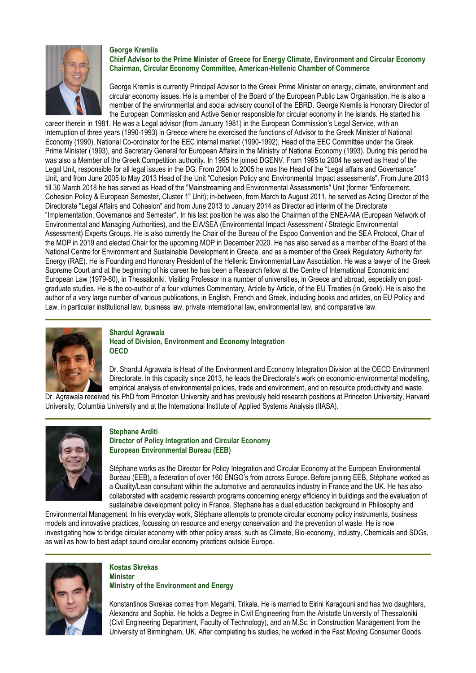

#### **George Kremlis Chief Advisor to the Prime Minister of Greece for Energy Climate, Environment and Circular Economy Chairman, Circular Economy Committee, American-Hellenic Chamber of Commerce**

George Kremlis is currently Principal Advisor to the Greek Prime Minister on energy, climate, environment and circular economy issues. He is a member of the Board of the European Public Law Organisation. He is also a member of the environmental and social advisory council of the EBRD. George Kremlis is Honorary Director of the European Commission and Active Senior responsible for circular economy in the islands. He started his

career therein in 1981. He was a Legal advisor (from January 1981) in the European Commission's Legal Service, with an interruption of three years (1990-1993) in Greece where he exercised the functions of Advisor to the Greek Minister of National Economy (1990), National Co-ordinator for the EEC internal market (1990-1992), Head of the EEC Committee under the Greek Prime Minister (1993), and Secretary General for European Affairs in the Ministry of National Economy (1993). During this period he was also a Member of the Greek Competition authority. In 1995 he joined DGENV. From 1995 to 2004 he served as Head of the Legal Unit, responsible for all legal issues in the DG. From 2004 to 2005 he was the Head of the "Legal affairs and Governance" Unit, and from June 2005 to May 2013 Head of the Unit "Cohesion Policy and Environmental Impact assessments". From June 2013 till 30 March 2018 he has served as Head of the "Mainstreaming and Environmental Assessments" Unit (former "Enforcement, Cohesion Policy & European Semester, Cluster 1" Unit); in-between, from March to August 2011, he served as Acting Director of the Directorate "Legal Affairs and Cohesion" and from June 2013 to January 2014 as Director ad interim of the Directorate "Implementation, Governance and Semester". In his last position he was also the Chairman of the ENEA-MA (European Network of Environmental and Managing Authorities), and the EIA/SEA (Environmental Impact Assessment / Strategic Environmental Assessment) Experts Groups. He is also currently the Chair of the Bureau of the Espoo Convention and the SEA Protocol, Chair of the MOP in 2019 and elected Chair for the upcoming MOP in December 2020. He has also served as a member of the Board of the National Centre for Environment and Sustainable Development in Greece, and as a member of the Greek Regulatory Authority for Energy (RAE). He is Founding and Honorary President of the Hellenic Environmental Law Association. He was a lawyer of the Greek Supreme Court and at the beginning of his career he has been a Research fellow at the Centre of International Economic and European Law (1979-80), in Thessaloniki. Visiting Professor in a number of universities, in Greece and abroad, especially on postgraduate studies. He is the co-author of a four volumes Commentary, Article by Article, of the EU Treaties (in Greek). He is also the author of a very large number of various publications, in English, French and Greek, including books and articles, on EU Policy and Law, in particular institutional law, business law, private international law, environmental law, and comparative law.



#### **Shardul Agrawala Head of Division, Environment and Economy Integration OECD**

Dr. Shardul Agrawala is Head of the Environment and Economy Integration Division at the OECD Environment Directorate. In this capacity since 2013, he leads the Directorate's work on economic-environmental modelling, empirical analysis of environmental policies, trade and environment, and on resource productivity and waste. Dr. Agrawala received his PhD from Princeton University and has previously held research positions at Princeton University, Harvard University, Columbia University and at the International Institute of Applied Systems Analysis (IIASA).



### **Stephane Arditi Director of Policy Integration and Circular Economy European Environmental Bureau (EEB)**

Stéphane works as the Director for Policy Integration and Circular Economy at the European Environmental Bureau (EEB), a federation of over 160 ENGO's from across Europe. Before joining EEB, Stéphane worked as a Quality/Lean consultant within the automotive and aeronautics industry in France and the UK. He has also collaborated with academic research programs concerning energy efficiency in buildings and the evaluation of sustainable development policy in France. Stephane has a dual education background in Philosophy and

Environmental Management. In his everyday work, Stéphane attempts to promote circular economy policy instruments, business models and innovative practices, focussing on resource and energy conservation and the prevention of waste. He is now investigating how to bridge circular economy with other policy areas, such as Climate, Bio-economy, Industry, Chemicals and SDGs, as well as how to best adapt sound circular economy practices outside Europe.



#### **Kostas Skrekas Minister Ministry of the Environment and Energy**

Konstantinos Skrekas comes from Megarhi, Trikala. He is married to Eirini Karagouni and has two daughters, Alexandra and Sophia. He holds a Degree in Civil Engineering from the Aristotle University of Thessaloniki (Civil Engineering Department, Faculty of Technology), and an M.Sc. in Construction Management from the University of Birmingham, UK. After completing his studies, he worked in the Fast Moving Consumer Goods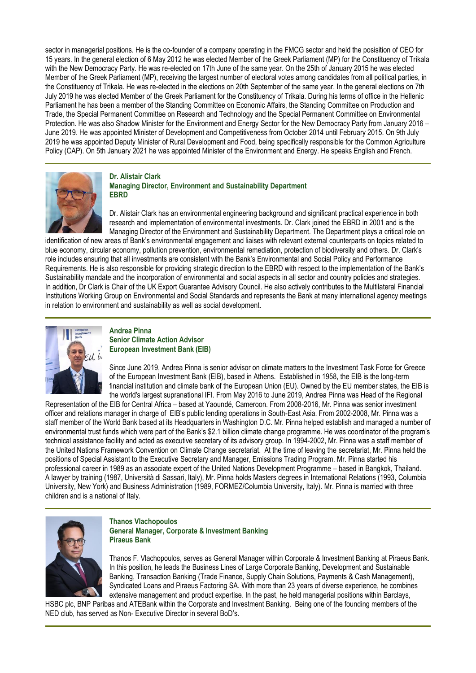sector in managerial positions. He is the co-founder of a company operating in the FMCG sector and held the posisition of CEO for 15 years. In the general election of 6 May 2012 he was elected Member of the Greek Parliament (MP) for the Constituency of Trikala with the New Democracy Party. He was re-elected on 17th June of the same year. On the 25th of January 2015 he was elected Member of the Greek Parliament (MP), receiving the largest number of electoral votes among candidates from all political parties, in the Constituency of Trikala. He was re-elected in the elections on 20th September of the same year. In the general elections on 7th July 2019 he was elected Member of the Greek Parliament for the Constituency of Trikala. During his terms of office in the Hellenic Parliament he has been a member of the Standing Committee on Economic Affairs, the Standing Committee on Production and Trade, the Special Permanent Committee on Research and Technology and the Special Permanent Committee on Environmental Protection. He was also Shadow Minister for the Environment and Energy Sector for the New Democracy Party from January 2016 – June 2019. He was appointed Minister of Development and Competitiveness from October 2014 until February 2015. On 9th July 2019 he was appointed Deputy Minister of Rural Development and Food, being specifically responsible for the Common Agriculture Policy (CAP). On 5th January 2021 he was appointed Minister of the Environment and Energy. He speaks English and French.



#### **Dr. Alistair Clark Managing Director, Environment and Sustainability Department EBRD**

Dr. Alistair Clark has an environmental engineering background and significant practical experience in both research and implementation of environmental investments. Dr. Clark joined the EBRD in 2001 and is the Managing Director of the Environment and Sustainability Department. The Department plays a critical role on

identification of new areas of Bank's environmental engagement and liaises with relevant external counterparts on topics related to blue economy, circular economy, pollution prevention, environmental remediation, protection of biodiversity and others. Dr. Clark's role includes ensuring that all investments are consistent with the Bank's Environmental and Social Policy and Performance Requirements. He is also responsible for providing strategic direction to the EBRD with respect to the implementation of the Bank's Sustainability mandate and the incorporation of environmental and social aspects in all sector and country policies and strategies. In addition, Dr Clark is Chair of the UK Export Guarantee Advisory Council. He also actively contributes to the Multilateral Financial Institutions Working Group on Environmental and Social Standards and represents the Bank at many international agency meetings in relation to environment and sustainability as well as social development.



#### **Andrea Pinna Senior Climate Action Advisor European Investment Bank (EIB)**

Since June 2019, Andrea Pinna is senior advisor on climate matters to the Investment Task Force for Greece of the European Investment Bank (EIB), based in Athens. Established in 1958, the EIB is the long-term financial institution and climate bank of the European Union (EU). Owned by the EU member states, the EIB is the world's largest supranational IFI. From May 2016 to June 2019, Andrea Pinna was Head of the Regional

Representation of the EIB for Central Africa – based at Yaoundé, Cameroon. From 2008-2016, Mr. Pinna was senior investment officer and relations manager in charge of EIB's public lending operations in South-East Asia. From 2002-2008, Mr. Pinna was a staff member of the World Bank based at its Headquarters in Washington D.C. Mr. Pinna helped establish and managed a number of environmental trust funds which were part of the Bank's \$2.1 billion climate change programme. He was coordinator of the program's technical assistance facility and acted as executive secretary of its advisory group. In 1994-2002, Mr. Pinna was a staff member of the United Nations Framework Convention on Climate Change secretariat. At the time of leaving the secretariat, Mr. Pinna held the positions of Special Assistant to the Executive Secretary and Manager, Emissions Trading Program. Mr. Pinna started his professional career in 1989 as an associate expert of the United Nations Development Programme – based in Bangkok, Thailand. A lawyer by training (1987, Università di Sassari, Italy), Mr. Pinna holds Masters degrees in International Relations (1993, Columbia University, New York) and Business Administration (1989, FORMEZ/Columbia University, Italy). Mr. Pinna is married with three children and is a national of Italy.



#### **Thanos Vlachopoulos General Manager, Corporate & Investment Banking Piraeus Bank**

Thanos F. Vlachopoulos, serves as General Manager within Corporate & Investment Banking at Piraeus Bank. In this position, he leads the Business Lines of Large Corporate Banking, Development and Sustainable Banking, Transaction Banking (Trade Finance, Supply Chain Solutions, Payments & Cash Management), Syndicated Loans and Piraeus Factoring SA. With more than 23 years of diverse experience, he combines extensive management and product expertise. In the past, he held managerial positions within Barclays,

HSBC plc, BNP Paribas and ATEBank within the Corporate and Investment Banking. Being one of the founding members of the NED club, has served as Non- Executive Director in several BoD's.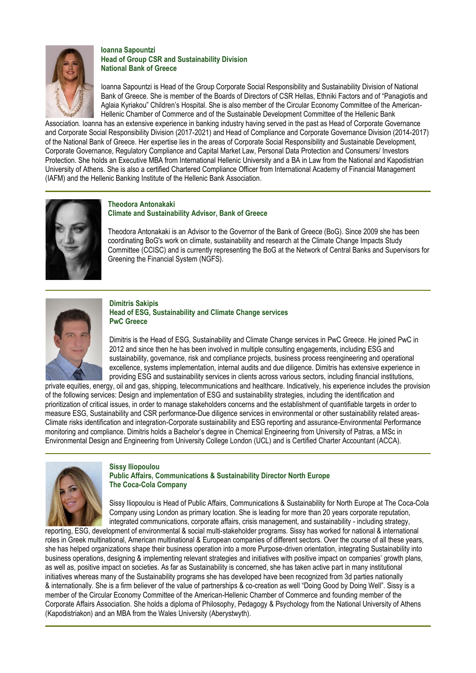

**Ioanna Sapountzi Head of Group CSR and Sustainability Division National Bank of Greece**

Ioanna Sapountzi is Head of the Group Corporate Social Responsibility and Sustainability Division of National Bank of Greece. She is member of the Boards of Directors of CSR Hellas, Ethniki Factors and of "Panagiotis and Aglaia Kyriakou" Children's Hospital. She is also member of the Circular Economy Committee of the American-Hellenic Chamber of Commerce and of the Sustainable Development Committee of the Hellenic Bank

Association. Ioanna has an extensive experience in banking industry having served in the past as Head of Corporate Governance and Corporate Social Responsibility Division (2017-2021) and Head of Compliance and Corporate Governance Division (2014-2017) of the National Bank of Greece. Her expertise lies in the areas of Corporate Social Responsibility and Sustainable Development, Corporate Governance, Regulatory Compliance and Capital Market Law, Personal Data Protection and Consumers/ Investors Protection. She holds an Executive MBA from International Hellenic University and a BA in Law from the National and Kapodistrian University of Athens. She is also a certified Chartered Compliance Officer from International Academy of Financial Management (IAFM) and the Hellenic Banking Institute of the Hellenic Bank Association.



# **Theodora Antonakaki Climate and Sustainability Advisor, Bank of Greece**

Theodora Antonakaki is an Advisor to the Governor of the Bank of Greece (BoG). Since 2009 she has been coordinating BoG's work on climate, sustainability and research at the Climate Change Impacts Study Committee (CCISC) and is currently representing the BoG at the Network of Central Banks and Supervisors for Greening the Financial System (NGFS).



#### **Dimitris Sakipis Head of ESG, Sustainability and Climate Change services PwC Greece**

Dimitris is the Head of ESG, Sustainability and Climate Change services in PwC Greece. He joined PwC in 2012 and since then he has been involved in multiple consulting engagements, including ESG and sustainability, governance, risk and compliance projects, business process reengineering and operational excellence, systems implementation, internal audits and due diligence. Dimitris has extensive experience in providing ESG and sustainability services in clients across various sectors, including financial institutions,

private equities, energy, oil and gas, shipping, telecommunications and healthcare. Indicatively, his experience includes the provision of the following services: Design and implementation of ESG and sustainability strategies, including the identification and prioritization of critical issues, in order to manage stakeholders concerns and the establishment of quantifiable targets in order to measure ESG, Sustainability and CSR performance-Due diligence services in environmental or other sustainability related areas-Climate risks identification and integration-Corporate sustainability and ESG reporting and assurance-Environmental Performance monitoring and compliance. Dimitris holds a Bachelor's degree in Chemical Engineering from University of Patras, a MSc in Environmental Design and Engineering from University College London (UCL) and is Certified Charter Accountant (ACCA).



### **Sissy Iliopoulou Public Affairs, Communications & Sustainability Director North Europe The Coca-Cola Company**

Sissy Iliopoulou is Head of Public Affairs, Communications & Sustainability for North Europe at The Coca-Cola Company using London as primary location. She is leading for more than 20 years corporate reputation, integrated communications, corporate affairs, crisis management, and sustainability - including strategy,

reporting, ESG, development of environmental & social multi-stakeholder programs. Sissy has worked for national & international roles in Greek multinational, American multinational & European companies of different sectors. Over the course of all these years, she has helped organizations shape their business operation into a more Purpose-driven orientation, integrating Sustainability into business operations, designing & implementing relevant strategies and initiatives with positive impact on companies' growth plans, as well as, positive impact on societies. As far as Sustainability is concerned, she has taken active part in many institutional initiatives whereas many of the Sustainability programs she has developed have been recognized from 3d parties nationally & internationally. She is a firm believer of the value of partnerships & co-creation as well "Doing Good by Doing Well". Sissy is a member of the Circular Economy Committee of the American-Hellenic Chamber of Commerce and founding member of the Corporate Affairs Association. She holds a diploma of Philosophy, Pedagogy & Psychology from the National University of Athens (Kapodistriakon) and an MBA from the Wales University (Aberystwyth).